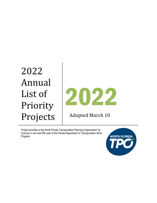# 2022 Annual List of Priority Projects



Adopted March 10

Project priorities of the North Florida Transportation Planning Organization for inclusion in the new fifth year of the Florida Department of Transportation Work Program

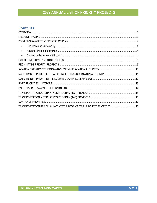#### Contents

| ٠         |  |
|-----------|--|
| $\bullet$ |  |
| $\bullet$ |  |
|           |  |
|           |  |
|           |  |
|           |  |
|           |  |
|           |  |
|           |  |
|           |  |
|           |  |
|           |  |
|           |  |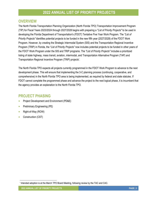#### <span id="page-2-0"></span>**OVERVIEW**

The North Florida Transportation Planning Organization (North Florida TPO) Transportation Improvement Program (TIP) for Fiscal Years 2023/2024 through 2027/2028 begins with preparing a *"List of Priority Projects"* to be used in developing the Florida Department of Transportation's (FDOT) Tentative Five Year Work Program. The *"List of Priority Projects"* identifies potential projects to be funded in the new fifth year (2027/2028) of the FDOT Work Program. However, by creating the Strategic Intermodal System (SIS) and the Transportation Regional Incentive Program (TRIP) in Florida, the *"List of Priority Projects"* now includes potential projects to be funded in other years of the FDOT Work Program under the SIS and TRIP programs. The *"List of Priority Projects"* includes a prioritized listing of state highway, mass transit, aviation, intermodal, and Transportation Alternative Program (TAP) and Transportation Regional Incentive Program (TRIP) projects\* .

The North Florida TPO expects all projects currently programmed in the FDOT Work Program to advance to the next development phase. This will ensure that implementing the 3-C planning process (continuing, cooperative, and comprehensive) in the North Florida TPO area is being implemented, as required by federal and state statutes. If FDOT cannot complete the programmed phase and advance the project to the next logical phase, it is incumbent that the agency provides an explanation to the North Florida TPO.

#### <span id="page-2-1"></span>**PROJECT PHASING**

- Project Development and Environment (PD&E)
- Preliminary Engineering (PE)
- Right-of-Way (ROW)
- Construction (CST)

l

<sup>\*</sup> Intended adoption is at the March TPO Board Meeting, following review by the TAC and CAC.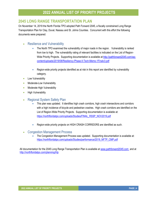#### <span id="page-3-0"></span>**2045 LONG RANGE TRANSPORTATION PLAN**

On November 14, 2019 the North Florida TPO adopted Path Forward 2045, a fiscally constrained Long Range Transportation Plan for Clay, Duval, Nassau and St. Johns Counties. Concurrent with this effort the following documents were prepared:

- <span id="page-3-1"></span> Resilience and Vulnerability
	- The North TPO examined the vulnerability of major roads in the region. Vulnerability is ranked from low to high. The vulnerability rating of relevant facilities is indicated on the List of Region-Wide Priority Projects. Supporting documentation is available a[t:http://pathforward2045.com/wp](http://pathforward2045.com/wp-content/uploads/2019/08/Resiliency-Phase-II-Tech-Memo-1Finalv3.pdf)[content/uploads/2019/08/Resiliency-Phase-II-Tech-Memo-1Finalv3.pdf](http://pathforward2045.com/wp-content/uploads/2019/08/Resiliency-Phase-II-Tech-Memo-1Finalv3.pdf)
	- Region-wide priority projects identified as at risk in this report are identified by vulnerability category.
- Low Vulnerability
- Moderate-Low Vulnerability
- **•** Moderate High Vulnerability
- **•** High Vulnerability
- <span id="page-3-2"></span>• Regional System Safety Plan
	- This plan was updated. It identifies high crash corridors, high crash intersections and corridors with a high incidence of bicycle and pedestrian crashes. High crash corridors are identified on the List of Region-Wide Priority Projects. Supporting documentation is available at: [https://northfloridatpo.com/uploads/Studies/FINAL\\_RSSP\\_NOV2019.pdf](https://northfloridatpo.com/uploads/Studies/FINAL_RSSP_NOV2019.pdf)
	- Region-wide priority projects on HIGH CRASH CORRIDORS are identified as such.
- <span id="page-3-3"></span> Congestion Management Process
	- The Congestion Management Process was updated. Supporting documentation is available at: [https://northfloridatpo.com/uploads/Studies/performance/2019\\_NFTP\\_CMP.pdf](https://northfloridatpo.com/uploads/Studies/performance/2019_NFTP_CMP.pdf)

All documentation for the 2045 Long Range Transportation Plan is available at [www.pathforward2045.com](http://www.pathforward2045.com/) and at <http://northfloridatpo.com/planning/lrtp>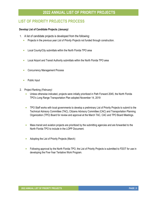#### <span id="page-4-0"></span>**LIST OF PRIORITY PROJECTS PROCESS**

#### **Develop List of Candidate Projects** *(January)*

- 1. A list of candidate projects is developed from the following:
	- **•** Projects in the previous year *List of Priority Projects* not funded through construction.
	- **•** Local County/City submittals within the North Florida TPO area
	- Local Airport and Transit Authority submittals within the North Florida TPO area
	- Concurrency Management Process
	- Public Input
- 2. Project Ranking (*February)* 
	- Unless otherwise indicated, projects were initially prioritized in Path Forward 2045, the North Florida TPO's Long Range Transportation Plan adopted November 14, 2019
	- **•** TPO Staff works with local governments to develop a preliminary List of Priority Projects to submit to the Technical Advisory Committee (TAC), Citizens Advisory Committee (CAC) and Transportation Planning Organization (TPO) Board for review and approval at the March TAC, CAC and TPO Board Meetings.
	- **Mass transit and aviation projects are prioritized by the submitting agencies and are forwarded to the** North Florida TPO to include in the LOPP Document.
	- Adopting the List of Priority Projects (March)
	- Following approval by the North Florida TPO, the List of Priority Projects is submitted to FDOT for use in developing the Five-Year Tentative Work Program.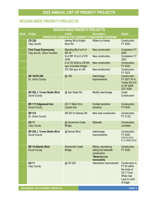#### <span id="page-5-0"></span>**REGION-WIDE PRIORITY PROJECTS**

|             | <b>REGION-WIDE PRIORITY PROJECTS</b>                         |                                                      |                                                                                                        |                                                                                                                 |
|-------------|--------------------------------------------------------------|------------------------------------------------------|--------------------------------------------------------------------------------------------------------|-----------------------------------------------------------------------------------------------------------------|
| <b>Rank</b> | <b>Project</b>                                               | <b>Limits</b>                                        | <b>Description</b>                                                                                     | <b>Status</b>                                                                                                   |
|             |                                                              | PRIORITIES FUNDED IN THE CURRENT 5-YEAR WORK PROGRAM |                                                                                                        |                                                                                                                 |
|             | <b>CR 220</b><br><b>Clay County</b>                          | Henley Rd to Knight<br><b>Boxx Rd</b>                | Widen to 4-lanes                                                                                       | Construction<br>FY 2024                                                                                         |
|             | <b>First Coast Expressway</b><br>Clay and St. Johns Counties | Blanding Blvd to N of<br><b>SR 16</b>                | New construction                                                                                       | <b>Completion FY</b><br>2025                                                                                    |
|             |                                                              | N of SR 16 to E of CR<br>2209                        | New construction                                                                                       | <b>Completion FY</b><br>2024                                                                                    |
|             |                                                              | E of CR 2209 to CR16A<br>spur (includes bridge)      | New construction                                                                                       | Construction<br>FY 2022                                                                                         |
|             |                                                              | CR 16A spur to I-95                                  | New construction                                                                                       | Construction<br>FY 2023                                                                                         |
|             | <b>SR 16/CR 208</b><br>St. Johns County                      | @ I-95                                               | Interchange<br>improvements                                                                            | Construction<br>FY 2021 W of<br>Tombs Rd to E<br>of CR 208N<br><b>CST 2026</b>                                  |
|             | SR 202 J. Turner Butler Blvd<br><b>Duval County</b>          | @ San Pablo Rd                                       | Modify interchange                                                                                     | <b>Under</b><br>Construction                                                                                    |
|             | <b>SR 111 Edgewood Ave</b><br><b>Duval County</b>            | US 17 Main St to<br><b>Cassat Ave</b>                | <b>Context sensitive</b><br>solutions                                                                  | Construction<br>FY19/20                                                                                         |
|             | <b>SR 313</b><br>St. Johns County                            | SR 207 to Holmes Rd                                  | New road construction                                                                                  | Construction<br>FY 21/22                                                                                        |
|             | <b>US 17</b><br><b>Clay County</b>                           | @ Governors Creek<br><b>Bridge</b>                   | <b>Sidewalk</b>                                                                                        | Construction<br>complete                                                                                        |
|             | SR 202 J. Turner Butler Blvd<br><b>Duval County</b>          | @ Kernan Blvd                                        | Interchange<br>Improvements                                                                            | Construction<br>FY 2020<br>\$1M SU 22/23<br>\$1.5 CMAQ 22/23                                                    |
|             | <b>SR 10 Atlantic Blvd</b><br><b>Duval County</b>            | <b>Silversmith Creek</b><br><b>Bridge</b>            | Milling, resurfacing,<br>railing and sidewalk<br>construction<br>*Moderate-Low<br><b>Vulnerability</b> | Construction<br>FY 2026                                                                                         |
|             | <b>US 17</b><br><b>Clay County</b>                           | @ CR 220                                             | Intersection improvement                                                                               | Construction in<br>FY 24 within<br>the limits of<br>US 17 from<br><b>White Oak</b><br>Lane to north<br>of Eagle |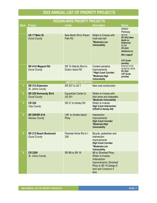|                | <b>REGION-WIDE PRIORITY PROJECTS</b>                 |                                              |                                                                                                                                                  |                                                                                                                                                                        |
|----------------|------------------------------------------------------|----------------------------------------------|--------------------------------------------------------------------------------------------------------------------------------------------------|------------------------------------------------------------------------------------------------------------------------------------------------------------------------|
| <b>Rank</b>    | <b>Project</b>                                       | <b>Limits</b>                                | <b>Description</b>                                                                                                                               | <b>Status</b>                                                                                                                                                          |
|                |                                                      |                                              |                                                                                                                                                  | Harbor<br>Parkway                                                                                                                                                      |
|                | <b>US 17 Main St</b><br><b>Duval County</b>          | New Berlin Rd to Pecan<br>Park Rd            | Widen to 5-lanes with<br>multi-use trail<br><i>*Moderate-Low</i><br><b>Vulnerability</b>                                                         | \$2.8 <sub>M</sub><br>PE 2023 (New<br><b>Berlin</b> to<br><b>Katherine)</b><br>\$2.4M<br>PE 2023<br>(Katherine to<br><b>Max Legget)</b><br><b>CST funds</b><br>pending |
|                | <b>SR A1A Mayport Rd</b><br><b>Duval County</b>      | SR 10 Atlantic Blvd to<br>Dutton Island Rd   | Context sensitive<br>improvements<br>** High Crash Corridor<br>*Moderate-High<br><b>Vulnerability</b>                                            | \$1M SU 21/22<br>\$5.4M SU 25/26<br><b>PE 2022</b><br><b>CST funds</b><br>pending                                                                                      |
|                |                                                      | <b>UNFUNDED PRIORITIES</b>                   |                                                                                                                                                  |                                                                                                                                                                        |
| 1              | <b>SR 312 Extension</b><br>St. Johns County          | SR 207 to US 1                               | New road construction                                                                                                                            |                                                                                                                                                                        |
| $\overline{2}$ | <b>SR 228 Normandy Blvd</b><br><b>Duval County</b>   | <b>Equestrian Center to</b><br><b>US 301</b> | Widen to 4-lanes with<br>bike lanes and sidewalks<br>*Moderate Vulnerability                                                                     |                                                                                                                                                                        |
| $\overline{3}$ | <b>CR 220</b><br><b>Clay County</b>                  | SR 21 to Henley Rd                           | Widen to 4-lanes<br><b>High Crash Intersection</b><br>(CR220 & Henley Rd)                                                                        |                                                                                                                                                                        |
| 4              | <b>SR 200/SR A1A</b><br><b>Nassau County</b>         | I-95 to Amelia Island<br>Pkwy                | Intersection<br>improvements<br><b>High Crash Corridor</b><br>*Moderate-High<br><b>Vulnerability</b>                                             |                                                                                                                                                                        |
| 5 <sup>5</sup> | <b>SR 212 Beach Boulevard</b><br><b>Duval County</b> | Parental Home Rd to I-<br>295                | Bicycle, pedestrian and<br>intersection<br>improvements<br><b>High Crash Corridor</b><br>*Moderate-Low<br><b>Vulnerability</b>                   |                                                                                                                                                                        |
| $6\phantom{1}$ | <b>CR 2209</b><br>St. Johns County                   | SR 9B to SR 16                               | 9B to Silverleaf Pkwy<br>Widen to 6-lanes<br>/Intersection<br>Improvements; Silverleaf<br>Pkwy to SR 16 Design 6<br>lane and Construct 4<br>lane |                                                                                                                                                                        |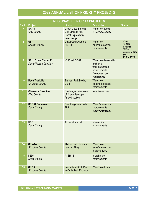|      | <b>REGION-WIDE PRIORITY PROJECTS</b>                 |                                                                                             |                                                                                                                   |                                                                                                   |
|------|------------------------------------------------------|---------------------------------------------------------------------------------------------|-------------------------------------------------------------------------------------------------------------------|---------------------------------------------------------------------------------------------------|
| Rank | <b>Project</b>                                       | <b>Limits</b>                                                                               | <b>Description</b>                                                                                                | <b>Status</b>                                                                                     |
| 7    | <b>SR 16</b><br><b>Clay County</b>                   | <b>Green Cove Springs</b><br><b>City Limits to First</b><br>Coast Expressway<br>Interchange | Widen to 4-lanes<br>*Low Vulnerability                                                                            |                                                                                                   |
| 8    | <b>US 17</b><br><b>Nassau County</b>                 | Duval County Line to<br><b>SR 200</b>                                                       | Widen to 4-<br>lanes/Intersection<br>improvements                                                                 | \$1.5m<br>PE 2023<br>(South of<br>William<br><b>Burgess to SSR</b><br>200)<br><b>ROW in 23/24</b> |
| 9    | SR 115 Lem Turner Rd<br><b>Duval/Nassau Counties</b> | I-295 to US 301                                                                             | Widen to 4-lanes with<br>multi-use<br>trail/Intersection<br>Improvements<br>*Moderate Low<br><b>Vulnerability</b> |                                                                                                   |
| 10   | <b>Race Track Rd</b><br>St. Johns County             | <b>Bartram Park Blyd to</b><br>US <sub>1</sub>                                              | Widen to 4-<br>lanes/Intersection<br>improvements                                                                 |                                                                                                   |
| 11   | <b>Cheswick Oaks Ave</b><br><b>Clay County</b>       | Challenger Drive to end<br>of 2-lane developer<br>funded section                            | New 2-lane road                                                                                                   |                                                                                                   |
| 12   | SR 104 Dunn Ave<br><b>Duval County</b>               | New Kings Road to I-<br>295                                                                 | Widen/intersection<br>improvements<br><i>*Low Vulnerability</i>                                                   |                                                                                                   |
| 13   | <b>US1</b><br><b>Duval County</b>                    | At Racetrack Rd                                                                             | Intersection<br>Improvements                                                                                      |                                                                                                   |
| 14   | SR <sub>A1A</sub><br>St. Johns County                | <b>Mickler Road to Marsh</b><br><b>Landing Pkwy</b>                                         | Widen to 4-<br>lanes/Intersection<br>Improvements                                                                 |                                                                                                   |
| 15   | $I-295$<br><b>Duval County</b>                       | At SR 13                                                                                    | Interchange<br>improvements                                                                                       |                                                                                                   |
| 16   | <b>SR 16</b><br>St. Johns County                     | <b>International Golf Pkwy</b><br>to Outlet Mall Entrance                                   | Widen to 4 lanes                                                                                                  |                                                                                                   |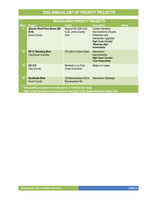|                                                                                                                                                           | <b>REGION-WIDE PRIORITY PROJECTS</b>                                 |                                                    |                                                                                                                                                                       |               |  |
|-----------------------------------------------------------------------------------------------------------------------------------------------------------|----------------------------------------------------------------------|----------------------------------------------------|-----------------------------------------------------------------------------------------------------------------------------------------------------------------------|---------------|--|
| Rank                                                                                                                                                      | <b>Project</b>                                                       | <b>Limits</b>                                      | <b>Description</b>                                                                                                                                                    | <b>Status</b> |  |
| 17 <sub>2</sub>                                                                                                                                           | <b>Atlantic Blvd/Third Street (SR</b><br>A1A)<br><b>Duval County</b> | Mayport Rd (SR A1A)<br>to St. Johns County<br>Line | <b>Context Sensitive</b><br>Improvements: Bicycle,<br>Pedestrian and<br>intersection upgrades<br><b>High Crash Corridor</b><br>*Moderate-High<br><b>Vulnerability</b> |               |  |
| 18                                                                                                                                                        | <b>SR 21 Blanding Blvd</b><br><b>Clay/Duval Counties</b>             | CR 220 to Collins Road                             | Intersection<br>improvements<br><b>High Crash Corridor</b><br>*Low Vulnerability                                                                                      |               |  |
| 19                                                                                                                                                        | <b>CR 315</b><br><b>Clay County</b>                                  | Medinah Ln to First<br><b>Coast Connector</b>      | Widen to 4 lanes                                                                                                                                                      |               |  |
| 20                                                                                                                                                        | <b>Southside Blvd</b><br><b>Duval County</b>                         | Old Baymeadows Rd to<br><b>Baymeadows Rd</b>       | <b>Intersection Redesign</b>                                                                                                                                          |               |  |
| * Vulnerability evaluated in the Resiliency & Vulnerability Study<br>High Crash Corridors and Intersections identified in the Regional System Safety Plan |                                                                      |                                                    |                                                                                                                                                                       |               |  |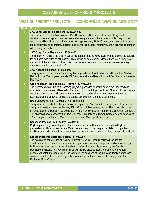#### <span id="page-9-0"></span>**AVIATION PRIORITY PROJECTSJACKSONVILLE AVIATION AUTHORITY**

| <b>Rank</b>     | <b>Project</b>                                                                                                                                                                                                                                                                                                                                                                                                                                                                                                                                                                                                                                                                                           |
|-----------------|----------------------------------------------------------------------------------------------------------------------------------------------------------------------------------------------------------------------------------------------------------------------------------------------------------------------------------------------------------------------------------------------------------------------------------------------------------------------------------------------------------------------------------------------------------------------------------------------------------------------------------------------------------------------------------------------------------|
|                 | JAX-Concourse B Replacement - \$233,000,000<br>The Jacksonville International Airport (JAX) Concourse B Replacement includes design and<br>construction of a six-gate concourse, associated ramp area, and the relocation of Taxiway V. The<br>concourse will consist of up to three levels with approximately 165,000 total square feet and includes<br>the development of holdrooms, aircraft gates, concession space, restrooms, and a connecting corridor<br>with moving sidewalks.                                                                                                                                                                                                                  |
| $\overline{2}$  | JAX-Cargo Apron Expansion - \$2,500,000<br>This project will expand the existing Air Cargo apron by adding 7000 square yards of concrete apron to<br>the southern side of the existing apron. The existing air cargo apron is located north of runway 14/32<br>and south of the terminal structure. This project is necessary to accommodate increased air cargo<br>operations and larger cargo aircraft.                                                                                                                                                                                                                                                                                                |
| $\mathbf{3}$    | JAX-Wetland Mitigation - \$13,500,000<br>This project will be the removal and mitigation of jurisdictional wetlands deemed Hazardous Wildlife<br>Habitat for JIA. The proposed area is 166.59 acres in size and lies within the AOA, directly northeast of<br>RWY 8/26.                                                                                                                                                                                                                                                                                                                                                                                                                                  |
| 4               | Cecil-Approach Road Utilities & Roadway - \$20,000,000<br>The Approach Road Utilities & Roadway project supports the construction of a two-lane road and<br>associated common use utilities within the boundary of Cecil Airport and Cecil Spaceport. The ultimate<br>construction of the road will serve as the common use roadway link connecting the common use<br>Spaceport Operations Area to other aerospace development and public use areas.                                                                                                                                                                                                                                                     |
| $5\phantom{.0}$ | Cecil-Runway 18R/36L Rehabilitation - \$8,500,000<br>This project will rehabilitate the portions of the asphalt on RWY 18R/36L. This project will include the<br>design and construction of the Runway 18L/36R asphalt keel reconstruction. The project abuts the<br>concrete section of Runway 18L and is 500' in length by 50' in width. The existing pavement consists of<br>4.5" of asphalt pavement over 9" of lime rock base. The anticipated new pavement section consists of<br>12" of compacted subgrade, 8" of lime rock base, and 9" of asphalt pavement.                                                                                                                                     |
| $6\phantom{a}$  | Spaceport-Payload Prep Facility - \$2,000,000<br>Payload processing is an integral part of Commercial Space Operations. Currently, a Payload<br>preparation facility is not available at Cecil Spaceport and processing is completed through the<br>modification of existing facilities to meet the needs of individual launch providers and specific payloads.                                                                                                                                                                                                                                                                                                                                          |
| $\overline{7}$  | Spaceport-Rocket Motor Test Facility - \$1,000,000<br>The design and construction of the Rocket Motor & Vehicle Testing Facility will include the<br>development of a concrete pad accompanied by a control room and propellant and oxidizer storage<br>facility dimensioned according to a baseline rocket engine group determined by the Facility<br>Requirements Evaluation. Required utilities will include electric, fiber and plumbed to eventually<br>connect water for fire suppression. The facility will be designed taking into consideration propellant<br>combinations, thrust levels and engine types as well as setback distances to comply with FAA<br><b>Explosive Siting Criteria.</b> |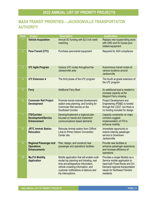## <span id="page-10-0"></span>**MASS TRANSIT PRIORITIESJACKSONVILLE TRANSPORTATON AUTHORITY**

| <b>Rank</b>     | <b>Project</b>                                                            | <b>Description</b>                                                                                                                                                                                                                | <b>Justification</b>                                                                                                                                                               |
|-----------------|---------------------------------------------------------------------------|-----------------------------------------------------------------------------------------------------------------------------------------------------------------------------------------------------------------------------------|------------------------------------------------------------------------------------------------------------------------------------------------------------------------------------|
|                 | <b>Vehicle Acquisition</b>                                                | Annual SU funding with \$2.5 toll credit<br>matching                                                                                                                                                                              | Replace new buses/rolling stock<br>with CNG and EV buses plus<br>related equipment                                                                                                 |
| $\overline{2}$  | Para-Transit (CTC)                                                        | Purchase para-transit equipment                                                                                                                                                                                                   | Required for ADA compliance                                                                                                                                                        |
| 3               | U <sup>2</sup> C Agile Program                                            | Various U <sup>2</sup> C routes throughout the<br>Jacksonville area                                                                                                                                                               | Autonomous transit routes at<br>various locations around<br>Jacksonville                                                                                                           |
| $\overline{4}$  | U <sup>2</sup> C Extension 4                                              | The third phase of the U <sup>2</sup> C program                                                                                                                                                                                   | The fourth at-grade extension of<br>the U <sup>2</sup> C program                                                                                                                   |
| $\overline{5}$  | Ferry                                                                     | <b>Additional Ferry Boat</b>                                                                                                                                                                                                      | An additional boat is needed to<br>increase capacity at the<br><b>Mayport Ferry crossing</b>                                                                                       |
| $6\phantom{1}6$ | <b>Commuter Rail Project</b><br><b>Development</b>                        | Promote transit-oriented development,<br>station area planning, and funding for<br>Commuter Rail service on the<br><b>Southeast Corridor</b>                                                                                      | <b>Project Development and</b><br>Engineering (PD&E) is funded<br>through the LOGT, but there is<br>no funding included for design                                                 |
| 7               | <b>ITS/Corridor</b><br><b>Development/Service</b><br><b>Enhancement</b>   | Develop/implement a regional plan<br>focused on transit and implement<br>communications based elements                                                                                                                            | Capacity constraints on major<br>corridors suggest<br>implementation of ITS to<br>enhance mobility                                                                                 |
| 8               | <b>JRTC Amtrak Station</b><br><b>Relocation</b>                           | <b>Relocate Amtrak station from Clifford</b><br>Lane to Prime Osborn Convention<br>Center site                                                                                                                                    | Immediate opportunity to<br>restore intercity passenger<br>service to Downtown<br>Jacksonville                                                                                     |
| 9               | <b>Regional Passenger and</b><br><b>Operations</b><br><b>Enhancements</b> | Plan, design, and construct new<br>passenger and operations facilities                                                                                                                                                            | Provide new facilities to<br>enhance passenger experience<br>and increase efficiency of<br>operations                                                                              |
| 10              | <b>MyJTA Mobility</b><br><b>Application</b>                               | Mobile application that will enable multi-<br>modal trip planning and ticketing, real<br>time arrival/departure information,<br>vehicle crowding information, and<br>customer notifications of detours and<br>trip interruptions. | Provides a single Mobility as a<br>Service mobile application to<br>meet both Fixed Route and On-<br>Demand regional transportation<br>needs for Northeast Florida's<br>residents. |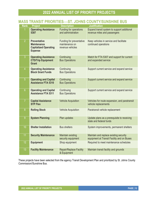#### <span id="page-11-0"></span>**MASS TRANSIT PRIORITIES-ST. JOHNS COUNTY/SUNSHINE BUS**

| <b>Rank</b>    | <b>Project</b>                                                                              | <b>Description</b>                                             | <b>Justification</b>                                                                 |
|----------------|---------------------------------------------------------------------------------------------|----------------------------------------------------------------|--------------------------------------------------------------------------------------|
|                | <b>Operating Assistance</b><br>5307                                                         | Funding for operations<br>and administration                   | Expand transit system to support additional<br>revenue miles and passengers          |
| $\overline{2}$ | <b>Preventative</b><br><b>Maintenance</b><br><b>Capitalized Operating</b><br><b>Expense</b> | Funding for preventative<br>maintenance on<br>revenue vehicles | Keep vehicles in service and facilitate<br>continued operations                      |
| 3              | <b>Operating Assistance</b><br><b>CTD/Trip Equipment</b><br><b>Grant</b>                    | Continuing<br><b>Bus Operations</b>                            | Match for FTA 5307 and support for current<br>and expanded service                   |
| $\overline{4}$ | <b>Operating Assistance</b><br><b>Block Grant Funds</b>                                     | Continuing<br><b>Bus Operations</b>                            | Support current service and expand service                                           |
| $\overline{5}$ | <b>Operating and Capital</b><br><b>Assistance FTA 5310</b>                                  | Continuing<br><b>Bus Operations</b>                            | Support current service and expand service                                           |
| $6\phantom{1}$ | <b>Operating and Capital</b><br><b>Assistance FTA 5311</b>                                  | Continuing<br><b>Bus Operations</b>                            | Support current service and expand service                                           |
| $\overline{7}$ | <b>Capital Assistance</b><br><b>STP Flex</b>                                                | <b>Vehicle Acquisition</b>                                     | Vehicles for route expansion, and paratransit<br>vehicle replacements                |
| 8              | <b>Rolling Stock</b>                                                                        | <b>Vehicle Acquisition</b>                                     | Paratransit vehicle replacement                                                      |
| $\overline{9}$ | <b>System Planning</b>                                                                      | Plan updates                                                   | Update plans as a prerequisite to receiving<br>state and federal funds               |
| 10             | <b>Shelter Installation</b>                                                                 | <b>Bus shelters</b>                                            | System improvements, permanent shelters                                              |
| 11             | <b>Security Maintenance</b>                                                                 | Maintain existing<br>security equipment                        | Maintain and replace existing security<br>equipment at Transit Facility and on Buses |
| 12             | <b>Equipment</b>                                                                            | Shop equipment                                                 | Required to meet maintenance schedules                                               |
| 13             | <b>Facility Maintenance</b>                                                                 | Repair/Replace Facility<br>& Equipment                         | Maintain transit facility and grounds                                                |

These projects have been selected from the agency Transit Development Plan and prioritized by St. Johns County Commission//Sunshine Bus.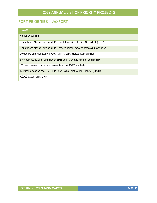#### <span id="page-12-0"></span>**PORT PRIORITIESJAXPORT**

#### **Project**

Harbor Deepening

Blount Island Marine Terminal (BIMT) Berth Extensions for Roll On Roll Off (RO/RO)

Blount Island Marine Terminal (BIMT) redevelopment for Auto processing expansion

Dredge Material Management Area (DMMA) expansion/capacity creation

Berth reconstruction at upgrades at BIMT and Talleyrand Marine Terminal (TMT)

ITS improvements for cargo movements at JAXPORT terminals

Terminal expansion near TMT, BIMT and Dame Point Marine Terminal (DPMT)

RO/RO expansion at DPMT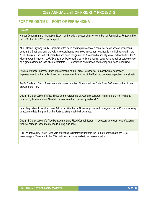#### <span id="page-13-0"></span>**PORT PRIORITIESPORT OF FERNANDINA**

#### **Project**

Harbor Deepening and Navigation Study – of the federal access channel to the Port of Fernandina. Requested by the USACE in its 2022 budget request.

M-95 Marine Highway Study – analysis of the need and requirements of a container barge service connecting ports in the Southeast and Mid-Atlantic coastal range to remove trucks from local roads and highways within the NFTPO region. The Port of Fernandina has been designated an American Marine Highway Port by the USDOT / Maritime Administration (MARAD) and is actively seeking to institute a regular coast-wise container barge service as a green alternative to trucks on Interstate 95. Cooperation and support of other regional ports is required.

Study of Potential Ingress/Egress Improvements at the Port of Fernandina – an analysis of necessary improvements to enhance fluidity of truck movements in and out of the Port and decrease impact on local streets.

Traffic Study and Truck Survey – update current studies of the capacity of State Road 200 to support additional growth of the Port.

Design & Construction of Office Space at the Port for the US Customs & Border Patrol and the Port Authority – required by federal statute. Needs to be completed and online by end of 2023.

Land Acquisition & Construction of Additional Warehouse Space Adjacent and Contiguous to the Port - necessary to accommodate the growth of the Port's existing break-bulk business.

Design & Construction of a Tide Management and Flood Control System – necessary to prevent loss of existing terminal acreage that currently floods during high tides.

Rail Freight Mobility Study – Analysis of existing rail infrastructure from the Port of Fernandina to the CSX interchange in Yulee and to the CSX main yard in Jacksonville to increase capacity.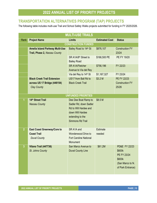#### <span id="page-14-0"></span>**TRANSPORTATION ALTERNATIVES PROGRAM (TAP) PROJECTS**

The following table includes multi-use Trail and School Safety Walks projects submitted for funding in FY 2025/2026.

| <b>MULTI-USE TRAILS</b> |                                                                                 |                                                                                                                                     |                           |                                                                                                      |
|-------------------------|---------------------------------------------------------------------------------|-------------------------------------------------------------------------------------------------------------------------------------|---------------------------|------------------------------------------------------------------------------------------------------|
| Rank                    | <b>Project Name</b>                                                             | <b>Limits</b>                                                                                                                       | <b>Estimated Cost</b>     | <b>Status</b>                                                                                        |
|                         |                                                                                 | <b>CONSTRUCTION FUNDED</b>                                                                                                          |                           |                                                                                                      |
|                         | <b>Amelia Island Parkway Multi-Use</b><br>Trail, Phase 2, Nassau County         | Bailey Road to 14th St                                                                                                              | \$876,107                 | <b>Construction FY</b><br>23/24                                                                      |
|                         |                                                                                 | SR A1A/8 <sup>th</sup> Street to<br><b>Bailey Road</b>                                                                              | \$166,500 PE              | PE FY 19/20                                                                                          |
|                         |                                                                                 | <b>SR A1A/Fletcher</b><br>Avenue to Via del Rey                                                                                     | \$756,196                 | FY 22/23                                                                                             |
|                         |                                                                                 | Via del Rey to 14 <sup>th</sup> St                                                                                                  | \$1,167,327               | FY 23/24                                                                                             |
|                         | <b>Black Creek Trail Extension</b>                                              | US17 from Ball Rd to                                                                                                                | \$3.2 <sub>M</sub>        | PE FY 22/23                                                                                          |
|                         | across US 17 Bridge (446154)<br><b>Clay County</b>                              | <b>Black Creek Trail</b>                                                                                                            |                           | <b>Construction FY</b><br>25/26                                                                      |
|                         |                                                                                 | <b>UNFUNDED PRIORITIES</b>                                                                                                          |                           |                                                                                                      |
|                         | 14th Street Trail<br><b>Nassau County</b>                                       | Dee Dee Boat Ramp to<br>Sadler Rd, down Sadler<br>Rd to Will Hardee and<br>down Will Hardee<br>extending to the<br>Simmons Rd Trail | \$8.5 M                   |                                                                                                      |
| $\overline{2}$          | <b>East Coast Greenway/Core to</b><br><b>Coast Trail</b><br><b>Duval County</b> | SR A1A and<br><b>Wonderwood Drive to</b><br><b>Fort Caroline National</b><br>Monument                                               | <b>Estimate</b><br>needed |                                                                                                      |
| $\mathbf{3}$            | Vilano Trail (447736)<br>St. Johns County                                       | San Marco Avenue to<br><b>Duval County Line</b>                                                                                     | \$61.2M                   | <b>PD&amp;E FY 22/23</b><br>\$600k<br>PE FY 23/24<br>\$600k<br>(San Marco to N.<br>of Park Entrance) |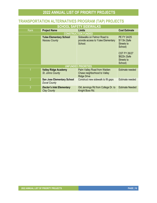# <span id="page-15-0"></span>**TRANSPORTATION ALTERNATIVES PROGRAM (TAP) PROJECTS**

| <b>SCHOOL SAFETY SIDEWALKS</b> |                                                          |                                                                                    |                                                                                                                             |  |
|--------------------------------|----------------------------------------------------------|------------------------------------------------------------------------------------|-----------------------------------------------------------------------------------------------------------------------------|--|
| Rank                           | <b>Project Name</b>                                      | Limits                                                                             | <b>Cost Estimate</b>                                                                                                        |  |
|                                |                                                          | <b>CONSTRUCTION FUNDED</b>                                                         |                                                                                                                             |  |
|                                | <b>Yulee Elementary School</b><br><b>Nassau County</b>   | Sidewalks on Felmor Road to<br>provide access to Yulee Elementary<br>School.       | <b>PE FY 24/25</b><br>\$113k (Safe<br>Streets to<br>School)<br><b>CST FY 26/27</b><br>\$622k (Safe<br>Streets to<br>School) |  |
|                                |                                                          | <b>UNFUNDED PRIORITIES</b>                                                         |                                                                                                                             |  |
|                                | <b>Valley Ridge Academy</b><br>St. Johns County          | Palm Valley Road from Walden<br>Chase neighborhood to Valley<br><b>Ridge Drive</b> | Estimate needed                                                                                                             |  |
| $\overline{2}$                 | <b>San Jose Elementary School</b><br><b>Duval County</b> | Construct new sidewalk to fill gaps                                                | Estimate needed                                                                                                             |  |
| 3                              | <b>Doctor's Inlet Elementary</b><br><b>Clay County</b>   | Old Jennings Rd from College Dr. to<br>Knight Boxx Rd.                             | <b>Estimate Needed</b>                                                                                                      |  |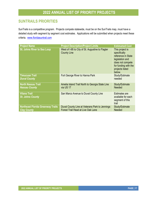#### <span id="page-16-0"></span>**SUNTRAILS PRIORITIES**

SunTrails is a competitive program. Projects compete statewide, must be on the SunTrails map, must have a detailed study with segment by segment cost estimates. Applications will be submitted when projects meet these criteria. [www.floridasuntrail.com](http://www.floridasuntrail.com/)

| <b>Project Name</b>                                            | <b>Project Description/Project Limits</b>                                                   | <b>Estimated Cost</b>                                                                                                                             |
|----------------------------------------------------------------|---------------------------------------------------------------------------------------------|---------------------------------------------------------------------------------------------------------------------------------------------------|
| <b>St. Johns River to Sea Loop</b>                             | West of I-95 to City of St. Augustine to Flagler<br><b>County Line</b>                      | This project is<br>specifically<br>reference in State<br>legislation and<br>does not compete<br>for funding with the<br>projects listed<br>below. |
| <b>Timucuan Trail</b><br><b>Duval County</b>                   | Fort George River to Hanna Park                                                             | Study/Estimate<br>needed                                                                                                                          |
| <b>North Nassau Trail</b><br><b>Nassau County</b>              | Amelia Island Trail North to Georgia State Line<br>via US 17                                | Study/Estimate<br>Needed                                                                                                                          |
| <b>Vilano Trail</b><br><b>St. Johns County</b>                 | San Marco Avenue to Duval County Line                                                       | <b>Estimates are</b><br>available for each<br>segment of this<br>trail                                                                            |
| <b>Northeast Florida Greenway Trails</b><br><b>Clay County</b> | Duval County Line at Veterans Park to Jennings<br><b>Forest Trail Head at Live Oak Lane</b> | Study/Estimate<br>Needed                                                                                                                          |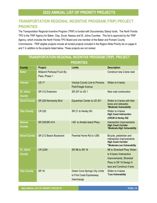#### <span id="page-17-0"></span>**TRANSPORTATION REGIONAL INCENTIVE PROGRAM (TRIP) PROJECT PRIORITIES**

The Transportation Regional Incentive Program (TRIP) is funded with Documentary Stamp funds. The North Florida TPO is the TRIP Agency for Baker, Clay, Duval, Nassau and St. Johns Counties. This list is approved by the TRIP Agency, which includes the North Florida TPO Board and one member of the Baker and Putnam County Commissions. TRIP eligible projects include all funded projects included in the Region-Wide Priority list on pages 6 and 7 in addition to the projects listed below. These projects are not ranked.

| TRANSPORTATION REGIONAL INCENTIVE PROGRAM (TRIP) PROJECT |                                             |                                                                                   |                                                                                                                                            |  |  |
|----------------------------------------------------------|---------------------------------------------|-----------------------------------------------------------------------------------|--------------------------------------------------------------------------------------------------------------------------------------------|--|--|
|                                                          | <b>PRIORITIES</b>                           |                                                                                   |                                                                                                                                            |  |  |
| <b>County</b>                                            | Project                                     | <b>Limits</b>                                                                     | <b>Description</b>                                                                                                                         |  |  |
| <b>Baker</b>                                             | Midpoint Parkway/Truck By-<br>Pass, Phase 1 |                                                                                   | Construct new 2-lane road                                                                                                                  |  |  |
| <b>Putnam</b>                                            | <b>US 17</b>                                | <b>Volusia County Line to Pomona</b><br>Park/Feagle Avenue                        | Widen to 4-lanes                                                                                                                           |  |  |
| <b>St. Johns</b><br><b>County</b>                        | SR 312 Extension                            | SR 207 to US 1                                                                    | New road construction                                                                                                                      |  |  |
| <b>Duval County</b>                                      | SR 228 Normandy Blvd                        | Equestrian Center to US 301                                                       | Widen to 4-lanes with bike<br>lanes and sidewalks<br>*Moderate Vulnerability                                                               |  |  |
| <b>Clay County</b>                                       | <b>CR 220</b>                               | SR 21 to Henley Rd                                                                | Widen to 4-lanes<br><b>High Crash Intersection</b><br>(CR220 & Henley Rd)                                                                  |  |  |
| <b>Nassau</b><br><b>County</b>                           | <b>SR 200/SR A1A</b>                        | I-95 to Amelia Island Pkwy                                                        | Intersection improvements<br><b>High Crash Corridor</b><br>*Moderate-High Vulnerability                                                    |  |  |
| <b>Duval County</b>                                      | SR 212 Beach Boulevard                      | Parental Home Rd to I-295                                                         | Bicycle, pedestrian and<br>intersection improvements<br><b>High Crash Corridor</b><br>*Moderate-Low Vulnerability                          |  |  |
| <b>St. Johns</b><br><b>County</b>                        | <b>CR 2209</b>                              | SR 9B to SR 16                                                                    | 9B to Silverleaf Pkwy Widen<br>to 6-lanes /Intersection<br>Improvements; Silverleaf<br>Pkwy to SR 16 Design 6<br>lane and Construct 4 lane |  |  |
| <b>Clay County</b>                                       | <b>SR 16</b>                                | <b>Green Cove Springs City Limits</b><br>to First Coast Expressway<br>Interchange | Widen to 4-lanes<br><i>*Low Vulnerability</i>                                                                                              |  |  |